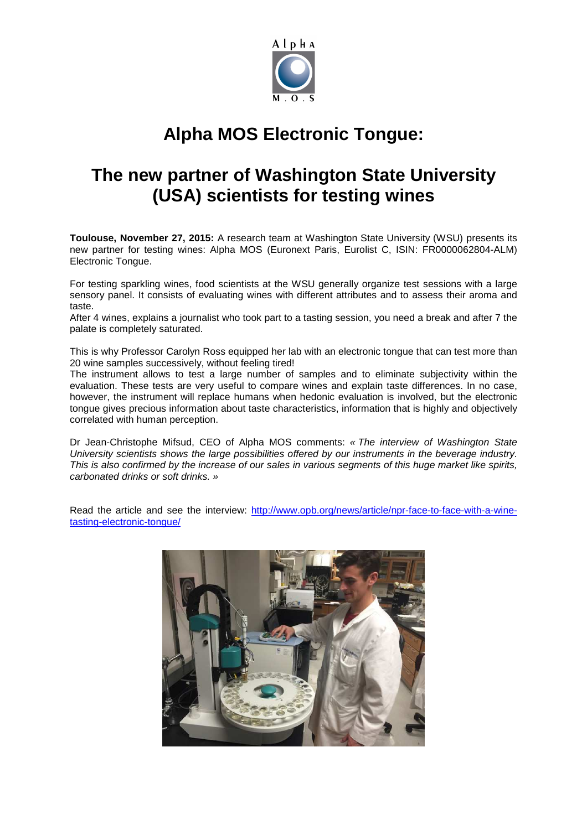

## **Alpha MOS Electronic Tongue:**

## **The new partner of Washington State University (USA) scientists for testing wines**

**Toulouse, November 27, 2015:** A research team at Washington State University (WSU) presents its new partner for testing wines: Alpha MOS (Euronext Paris, Eurolist C, ISIN: FR0000062804-ALM) Electronic Tongue.

For testing sparkling wines, food scientists at the WSU generally organize test sessions with a large sensory panel. It consists of evaluating wines with different attributes and to assess their aroma and taste.

After 4 wines, explains a journalist who took part to a tasting session, you need a break and after 7 the palate is completely saturated.

This is why Professor Carolyn Ross equipped her lab with an electronic tongue that can test more than 20 wine samples successively, without feeling tired!

The instrument allows to test a large number of samples and to eliminate subjectivity within the evaluation. These tests are very useful to compare wines and explain taste differences. In no case, however, the instrument will replace humans when hedonic evaluation is involved, but the electronic tongue gives precious information about taste characteristics, information that is highly and objectively correlated with human perception.

Dr Jean-Christophe Mifsud, CEO of Alpha MOS comments: « The interview of Washington State University scientists shows the large possibilities offered by our instruments in the beverage industry. This is also confirmed by the increase of our sales in various segments of this huge market like spirits, carbonated drinks or soft drinks. »

Read the article and see the interview: http://www.opb.org/news/article/npr-face-to-face-with-a-winetasting-electronic-tongue/